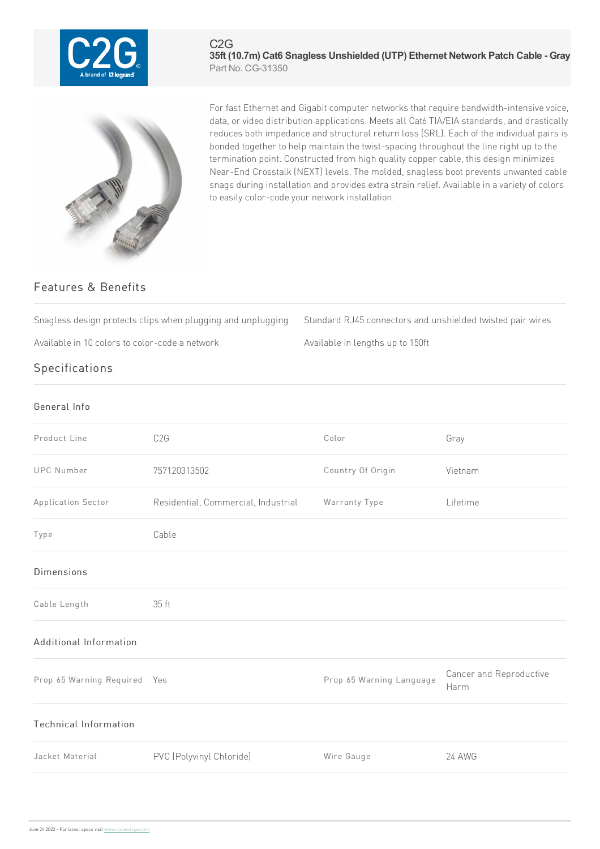

## C2G **35ft (10.7m) Cat6 Snagless Unshielded (UTP) Ethernet Network Patch Cable - Gray** Part No. CG-31350



For fast Ethernet and Gigabit computer networks that require bandwidth-intensive voice, data, or video distribution applications. Meets all Cat6 TIA/EIA standards, and drastically reduces both impedance and structural return loss (SRL). Each of the individual pairs is bonded together to help maintain the twist-spacing throughout the line right up to the termination point. Constructed from high quality copper cable, this design minimizes Near-End Crosstalk (NEXT) levels. The molded, snagless boot prevents unwanted cable snags during installation and provides extra strain relief. Available in a variety of colors to easily color-code your network installation.

## Features & Benefits

Snagless design protects clips when plugging and unplugging Standard RJ45 connectors and unshielded twisted pair wires

Available in 10 colors to color-code a network Available in lengths up to 150ft

## Specifications

## General Info Product Line C2G COLOR Color Color Gray UPC Number 757120313502 Country Of Origin Vietnam Application Sector Residential, Commercial, Industrial Warranty Type Lifetime Type Cable Dimensions Cable Length 35ft Additional Information Prop 65 Warning Required Yes Prop 65 Warning Language Cancer and Reproductive Harm Technical Information Jacket Material **PVC** (Polyvinyl Chloride) Wire Gauge 24 AWG